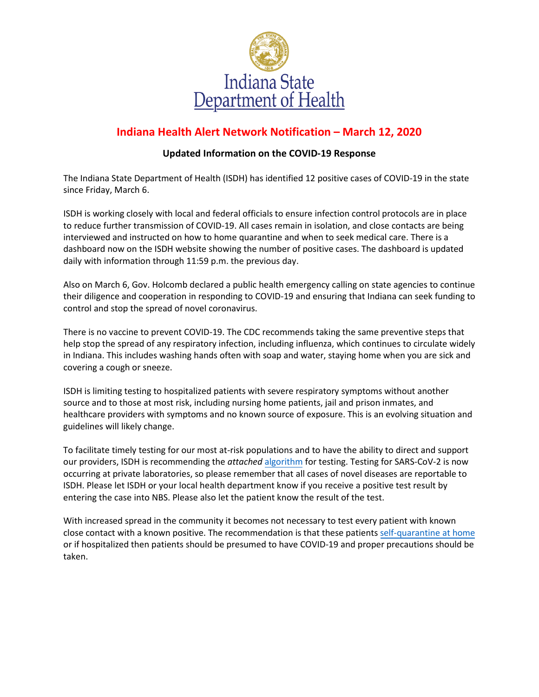

## **Indiana Health Alert Network Notification – March 12, 2020**

## **Updated Information on the COVID-19 Response**

The Indiana State Department of Health (ISDH) has identified 12 positive cases of COVID-19 in the state since Friday, March 6.

ISDH is working closely with local and federal officials to ensure infection control protocols are in place to reduce further transmission of COVID-19. All cases remain in isolation, and close contacts are being interviewed and instructed on how to home quarantine and when to seek medical care. There is a dashboard now on the ISDH website showing the number of positive cases. The dashboard is updated daily with information through 11:59 p.m. the previous day.

Also on March 6, Gov. Holcomb declared a public health emergency calling on state agencies to continue their diligence and cooperation in responding to COVID-19 and ensuring that Indiana can seek funding to control and stop the spread of novel coronavirus.

There is no vaccine to prevent COVID-19. The CDC recommends taking the same preventive steps that help stop the spread of any respiratory infection, including influenza, which continues to circulate widely in Indiana. This includes washing hands often with soap and water, staying home when you are sick and covering a cough or sneeze.

ISDH is limiting testing to hospitalized patients with severe respiratory symptoms without another source and to those at most risk, including nursing home patients, jail and prison inmates, and healthcare providers with symptoms and no known source of exposure. This is an evolving situation and guidelines will likely change.

To facilitate timely testing for our most at-risk populations and to have the ability to direct and support our providers, ISDH is recommending the *attached* [algorithm](https://test.in.gov/isdh/files/Testing%20Algorithm%20Mar%2012.pdf) for testing. Testing for SARS-CoV-2 is now occurring at private laboratories, so please remember that all cases of novel diseases are reportable to ISDH. Please let ISDH or your local health department know if you receive a positive test result by entering the case into NBS. Please also let the patient know the result of the test.

With increased spread in the community it becomes not necessary to test every patient with known close contact with a known positive. The recommendation is that these patients [self-quarantine](https://www.in.gov/isdh/files/IN_COVID-19_Home_Care_2.28.20.pdf) at home or if hospitalized then patients should be presumed to have COVID-19 and proper precautions should be taken.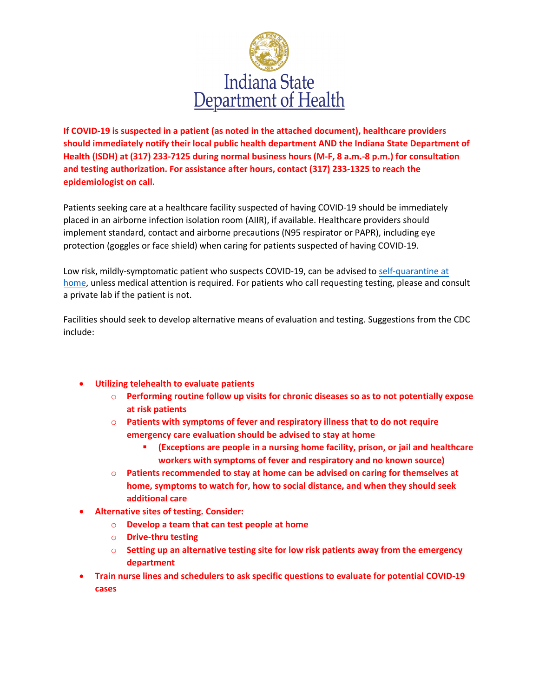

**If COVID-19 is suspected in a patient (as noted in the attached document), healthcare providers should immediately notify their local public health department AND the Indiana State Department of Health (ISDH) at (317) 233-7125 during normal business hours (M-F, 8 a.m.-8 p.m.) for consultation and testing authorization. For assistance after hours, contact (317) 233-1325 to reach the epidemiologist on call.** 

Patients seeking care at a healthcare facility suspected of having COVID-19 should be immediately placed in an airborne infection isolation room (AIIR), if available. Healthcare providers should implement standard, contact and airborne precautions (N95 respirator or PAPR), including eye protection (goggles or face shield) when caring for patients suspected of having COVID-19.

Low risk, mildly-symptomatic patient who suspects COVID-19, can be advised to self-quarantine at home, unless medical attention is required. For patients who call requesting testing, please and consult a private lab if the patient is not.

[Faciliti](https://www.in.gov/isdh/files/IN_COVID-19_Home_Care_2.28.20.pdf)es should seek to develop alternative means of evaluation and testing. Suggestions from the CDC include:

- **Utilizing telehealth to evaluate patients**
	- o **Performing routine follow up visits for chronic diseases so as to not potentially expose at risk patients**
	- o **Patients with symptoms of fever and respiratory illness that to do not require emergency care evaluation should be advised to stay at home**
		- **(Exceptions are people in a nursing home facility, prison, or jail and healthcare workers with symptoms of fever and respiratory and no known source)**
	- o **Patients recommended to stay at home can be advised on caring for themselves at home, symptoms to watch for, how to social distance, and when they should seek additional care**
- **Alternative sites of testing. Consider:**
	- o **Develop a team that can test people at home**
	- o **Drive-thru testing**
	- o **Setting up an alternative testing site for low risk patients away from the emergency department**
- **Train nurse lines and schedulers to ask specific questions to evaluate for potential COVID-19 cases**